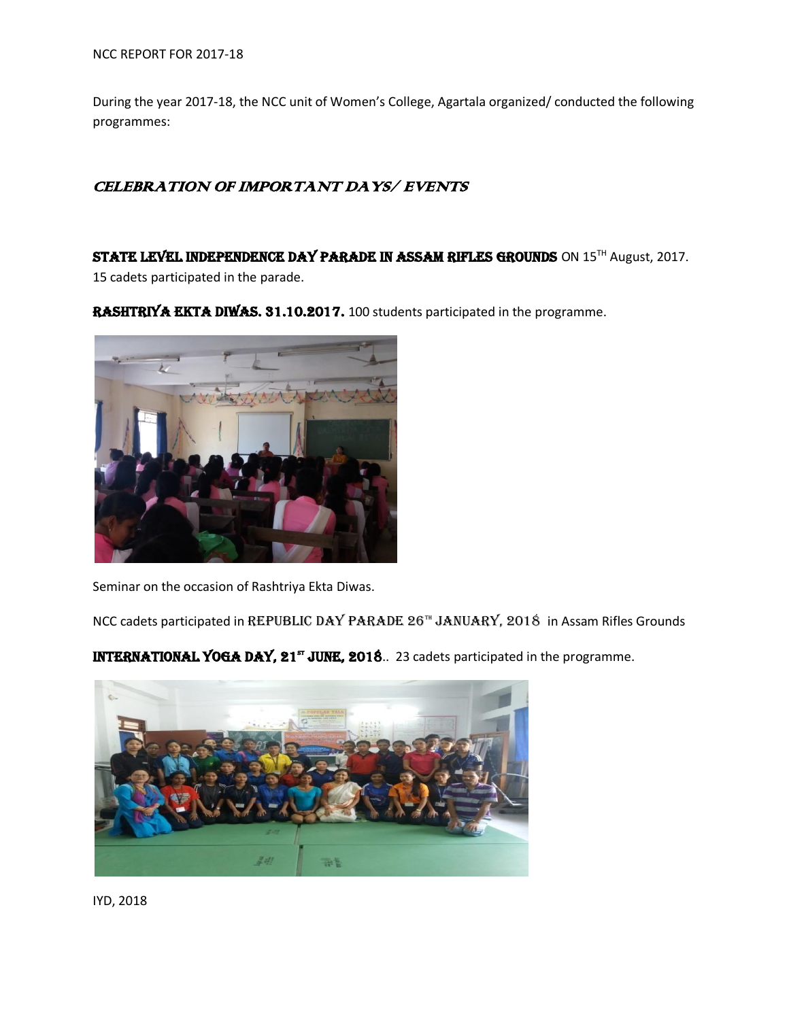During the year 2017-18, the NCC unit of Women's College, Agartala organized/ conducted the following programmes:

## CELEBRATION OF IMPORTANT DAYS/ EVENTS

STATE LEVEL INDEPENDENCE DAY PARADE IN ASSAM RIFLES GROUNDS ON 15<sup>TH</sup> August, 2017.

15 cadets participated in the parade.

RASHTRIYA EKTA DIWAS. 31.10.2017. 100 students participated in the programme.



Seminar on the occasion of Rashtriya Ekta Diwas.

NCC cadets participated in REPUBLIC DAY PARADE 26<sup>TH</sup> JANUARY, 2018 in Assam Rifles Grounds

INTERNATIONAL YOGA DAY, 21<sup>st</sup> JUNE, 2018. 23 cadets participated in the programme.



IYD, 2018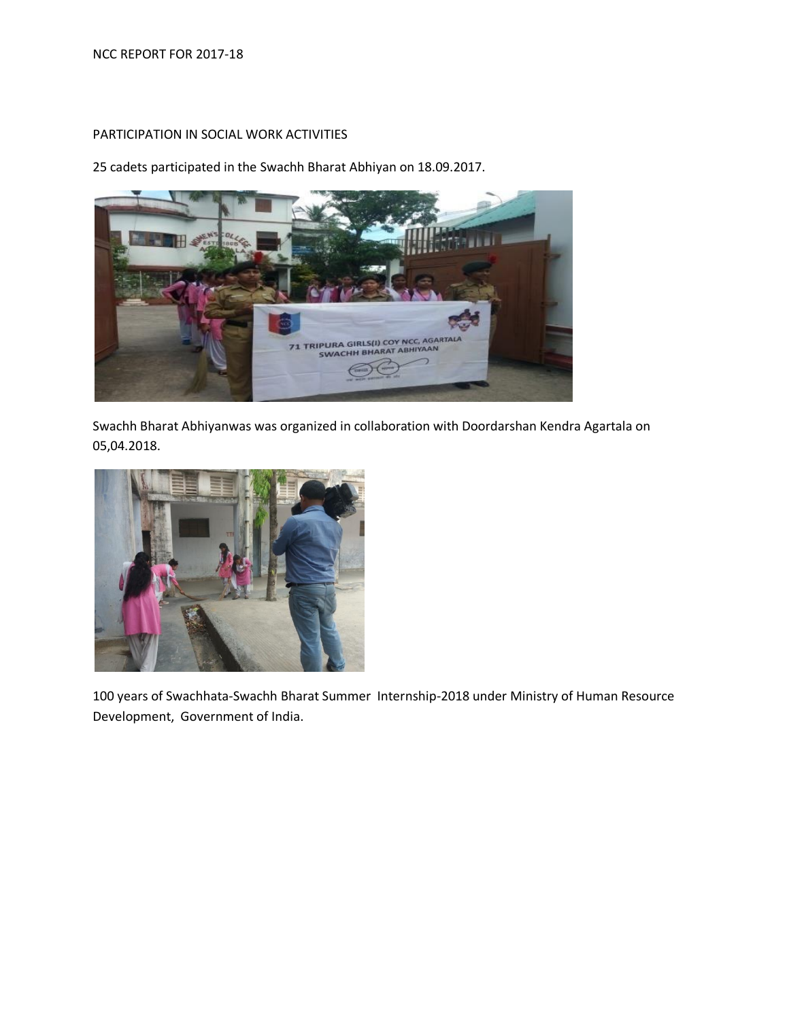## PARTICIPATION IN SOCIAL WORK ACTIVITIES

25 cadets participated in the Swachh Bharat Abhiyan on 18.09.2017.



Swachh Bharat Abhiyanwas was organized in collaboration with Doordarshan Kendra Agartala on 05,04.2018.



100 years of Swachhata-Swachh Bharat Summer Internship-2018 under Ministry of Human Resource Development, Government of India.